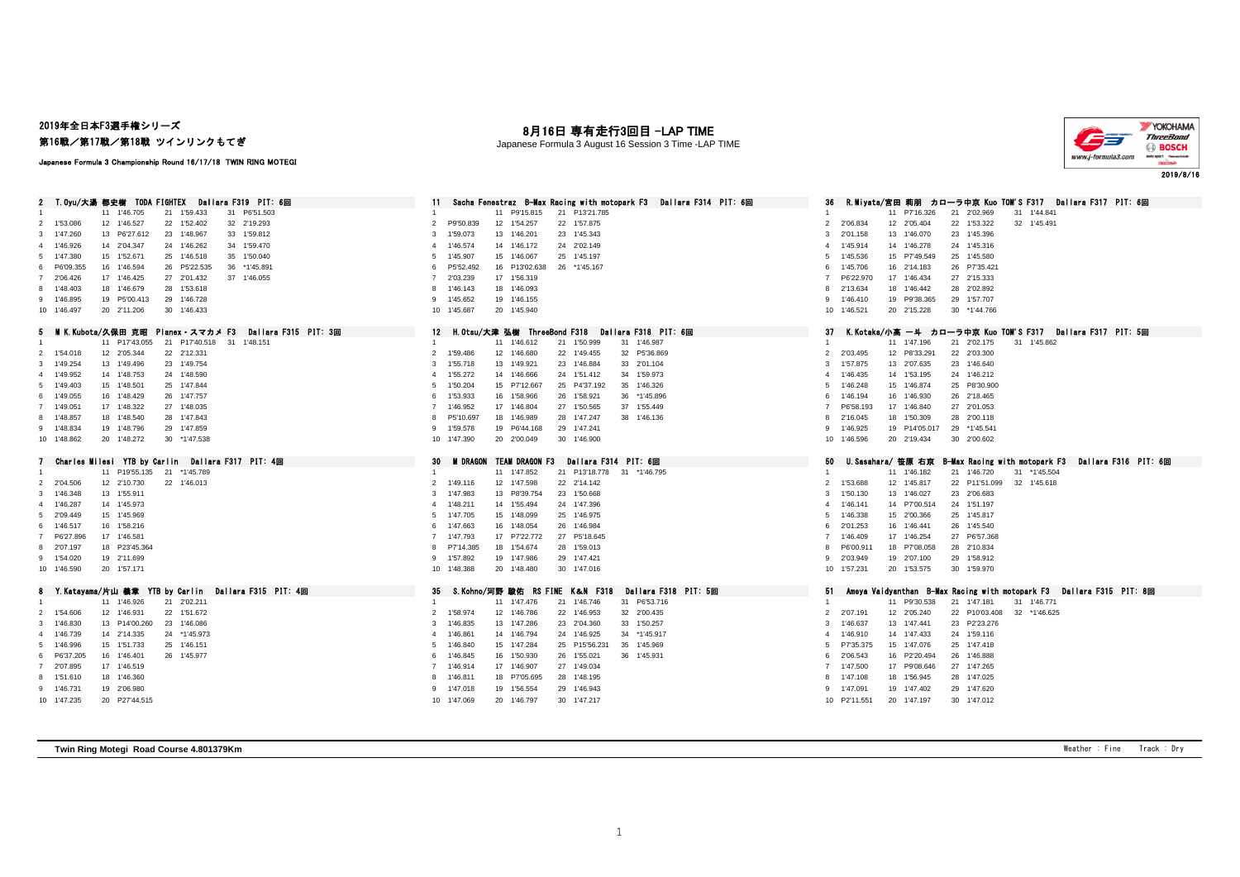### 2019年全日本F3選手権シリーズ 第16戦/第17戦/第18戦 ツインリンクもてぎ

# 月16日 専有走行3回目 -LAP TIME

Japanese Formula 3 August 16 Session 3 Time -LAP TIME



#### Japanese Formula 3 Championship Round 16/17/18 TWIN RING MOTEGI

| T.Oyu/大湯 都史樹 TODA FIGHTEX Dallara F319 PIT: 6回                                      | Sacha Fenestraz B-Max Racing with motopark F3 Dallara F314 PIT: 6回                                         | R.Miyata/宮田 莉朋 カローラ中京 Kuo TOM'S F317 Dallara F317 PIT: 6回<br>36                                                    |
|-------------------------------------------------------------------------------------|------------------------------------------------------------------------------------------------------------|--------------------------------------------------------------------------------------------------------------------|
| 31 P6'51.503<br>11 1'46.705<br>21 1'59.433<br>$\overline{1}$                        | 11 P9'15.815<br>21 P13'21.785                                                                              | 11 P7'16.326<br>21 2'02.969<br>31 1'44.841                                                                         |
| 12 1'46.527<br>22 1'52.402<br>32 2'19.293<br>2 1'53,086                             | P9'50.839<br>12 1'54.257<br>22 1'57.875<br>$\mathcal{L}$                                                   | 2'06.834<br>22 1'53.322<br>32 1'45.491<br>$\overline{2}$<br>12 2'05.404                                            |
| 33 1'59.812<br>3 1'47.260<br>13 P6'27.612<br>23 1'48.967                            | 23 1'45.343<br>1'59.073<br>13 1'46.201<br>-3                                                               | 23 1'45.396<br>3<br>2'01.158<br>13 1'46.070                                                                        |
| 4 1'46.926<br>14 2'04.347<br>24 1'46.262<br>34 1'59.470                             | 1'46.574<br>14 1'46.172<br>24 2'02.149                                                                     | 1'45.914<br>14 1'46.278<br>24 1'45.316<br>4                                                                        |
| 15 1'52.671<br>25 1'46.518<br>35 1'50.040<br>5 1'47.380                             | 1'45.907<br>15 1'46.067<br>25 1'45.197                                                                     | 15 P7'49.549<br>25 1'45.580<br>5<br>1'45.536                                                                       |
| 6 P6'09.355<br>16 1'46.594<br>26 P5'22.535<br>36 *1'45.891                          | 16 P13'02.638<br>P5'52.492<br>26 *1'45.167                                                                 | 1'45.706<br>16 2'14.183<br>26 P7'35.421<br>6                                                                       |
| 17 1'46.425<br>27 2'01.432<br>37 1'46.055<br>7 2'06.426                             | 17 1'56.319<br>2'03.239                                                                                    | 27 2'15.333<br>P6'22.970<br>17 1'46.434                                                                            |
| 8 1'48,403<br>18 1'46.679<br>28 1'53.618                                            | 18 1'46.093<br>1'46.143                                                                                    | 2'13.634<br>18 1'46.442<br>28 2'02.892<br>8                                                                        |
| 29 1'46.728<br>19 P5'00.413<br>9 1'46.895                                           | 19 1'46.155<br>1'45.652<br><b>Q</b>                                                                        | 29 1'57.707<br>19 P9'38.365<br>9<br>1'46.410                                                                       |
| 20 2'11.206<br>30 1'46.433<br>10 1'46.497                                           | 10 1'45.687<br>20 1'45,940                                                                                 | 20 2'15.228<br>30 *1'44.766<br>10 1'46.521                                                                         |
| 5 MIK.Kubota/久保田 克昭<br>Planex スマカメ F3<br>Dallara F315 PIT: 3回                       | H.Otsu/大津 弘樹 ThreeBond F318 Dallara F318 PIT: 6回<br>12                                                     | 37<br>K.Kotaka/小高 一斗 カローラ中京 Kuo TOM'S F317 Dallara F317 PIT: 5回                                                    |
| 21 P17'40.518 31 1'48.151<br>11 P17'43.055                                          | 11 1'46.612<br>21 1'50.999<br>31 1'46.987                                                                  | 11 1'47.196<br>21 2'02.175<br>31 1'45.862                                                                          |
| 2 1'54.018<br>12 2'05.344<br>22 2'12.331                                            | 32 P5'36.869<br>1'59.486<br>12 1'46.680<br>22 1'49.455<br>2                                                | $\overline{2}$<br>2'03.495<br>12 P8'33.291<br>22 2'03.300                                                          |
| 3 1'49,254<br>13 1'49.496<br>23 1'49.754                                            | 1'55.718<br>13 1'49.921<br>23 1'46.884<br>33 2'01.104<br>3                                                 | 1'57.875<br>13 2'07.635<br>23 1'46.640<br>3                                                                        |
| 24 1'48.590<br>4 1'49.952<br>14 1'48.753                                            | 1'55.272<br>14 1'46,666<br>24 1'51.412<br>34 1'59.973                                                      | 24 1'46.212<br>1'46.435<br>14 1'53.195<br>$\overline{4}$                                                           |
| 5 1'49,403<br>15 1'48.501<br>25 1'47.844                                            | 15 P7'12.667<br>25 P4'37.192<br>35 1'46.326<br>1'50.204                                                    | 25 P8'30.900<br>1'46.248<br>15 1'46.874<br>5                                                                       |
| 26 1'47.757<br>6 1'49.055<br>16 1'48.429                                            | 1'53.933<br>16 1'58.966<br>26 1'58.921<br>36 *1'45.896<br>-6                                               | 1'46.194<br>16 1'46.930<br>26 2'18.465<br>6                                                                        |
| 7 1'49.051<br>17 1'48.322<br>27 1'48.035                                            | 1'46.952<br>17 1'46.804<br>27 1'50.565<br>37 1'55.449                                                      | P6'58.193<br>17 1'46.840<br>27 2'01.053<br>-7                                                                      |
| 8 1'48.857<br>18 1'48.540<br>28 1'47.843                                            | 28 1'47.247<br>P5'10.697<br>18 1'46.989<br>38 1'46.136                                                     | 18 1'50.309<br>28 2'00.118<br>8<br>2'16.045                                                                        |
| 29 1'47.859<br>9 1'48.834<br>19 1'48.796                                            | 29 1'47.241<br>1'59.578<br>19 P6'44.168                                                                    | 29 *1'45.541<br>9<br>1'46.925<br>19 P14'05.017                                                                     |
| 10 1'48.862<br>20 1'48.272<br>30 *1'47.538                                          | 10 1'47.390<br>20 2'00.049<br>30 1'46.900                                                                  | 10 1'46.596<br>20 2'19.434<br>30 2'00.602                                                                          |
|                                                                                     |                                                                                                            |                                                                                                                    |
|                                                                                     |                                                                                                            | 50<br>B-Max Racing with motopark F3<br>Dallara F316 PIT: 6回<br>U.Sasahara/ 笹原 右京                                   |
| Charles Milesi YTB by Carlin Dallara F317 PIT: 4回<br>7                              | 30<br>M DRAGON TEAM DRAGON F3<br>Dallara F314 PIT: 6回                                                      |                                                                                                                    |
| 11 P19'55.135 21 *1'45.789<br>-1                                                    | 11 1'47.852<br>21 P13'18.778 31 *1'46.795<br>-1                                                            | 11 1'46.182<br>21 1'46.720<br>31 *1'45.504                                                                         |
| 2 2'04.506<br>12 2'10.730<br>22 1'46.013                                            | 1'49.116<br>12 1'47.598<br>22 2'14.142<br>$\mathcal{L}$                                                    | 1'53.688<br>12 1'45.817<br>22 P11'51.099 32 1'45.618<br>$\overline{2}$                                             |
| 13 1'55.911<br>3 1'46,348                                                           | 23 1'50.668<br>1'47.983<br>13 P8'39.754                                                                    | 1'50.130<br>13 1'46.027<br>23 2'06.683<br>3                                                                        |
| 14 1'45.973<br>4 1'46.287                                                           | 24 1'47.396<br>1'48.211<br>14 1'55.494                                                                     | 24 1'51.197<br>1'46.141<br>14 P7'00.514<br>4                                                                       |
| 5 2'09.449<br>15 1'45.969                                                           | 1'47.705<br>15 1'48.099<br>25 1'46.975<br>5                                                                | 1'46.338<br>15 2'00.366<br>25 1'45.817<br>5                                                                        |
| 16 1'58.216<br>6 1'46.517                                                           | 16 1'48.054<br>26 1'46.984<br>1'47.663                                                                     | 26 1'45.540<br>2'01.253<br>16 1'46.441<br>6                                                                        |
| 7 P6'27.896<br>17 1'46.581                                                          | 17 P7'22.772<br>27 P5'18.645<br>1'47.793                                                                   | 27 P6'57.368<br>1'46,409<br>17 1'46.254<br>-7                                                                      |
| 18 P23'45.364<br>8 2'07.197                                                         | P7'14.385<br>18 1'54.674<br>28 1'59.013                                                                    | 18 P7'08.058<br>28 2'10.834<br>P6'00.911<br>8                                                                      |
| 9 1'54.020<br>19 2'11.699                                                           | 29 1'47.421<br>1'57.892<br>19 1'47.986                                                                     | 19 2'07.100<br>29 1'58.912<br>9<br>2'03.949                                                                        |
| 10 1'46,590<br>20 1'57.171                                                          | 10 1'48,388<br>20 1'48,480<br>30 1'47.016                                                                  | 10 1'57.231<br>20 1'53.575<br>30 1'59,970                                                                          |
|                                                                                     |                                                                                                            | 51                                                                                                                 |
| 8 Y.Katayama/片山 義章 YTB by Carlin Dallara F315 PIT: 4回<br>21 2'02.211<br>11 1'46.926 | Dallara F318 PIT: 5回<br>35<br>S.Kohno/河野 駿佑 RS FINE K&N F318<br>11 1'47.476<br>21 1'46.746<br>31 P6'53.716 | Ameya Vaidyanthan B-Max Racing with motopark F3 Dallara F315 PIT: 8回<br>11 P9'30.538<br>21 1'47.181<br>31 1'46.771 |
| 2 1'54,606<br>12 1'46.931<br>22 1'51.672                                            | 1'58.974<br>12 1'46.786<br>22 1'46.953<br>32 2'00.435<br>$\overline{2}$                                    | $\overline{2}$<br>2'07.191<br>12 2'05.240<br>22 P10'03.408<br>32 *1'46.625                                         |
| 3 1'46.830<br>13 P14'00.260<br>23 1'46.086                                          | 23 2'04.360<br>1'46.835<br>13 1'47.286<br>33 1'50.257                                                      | 13 1'47.441<br>23 P2'23.276<br>3<br>1'46.637                                                                       |
| 14 2'14.335<br>24 *1'45.973<br>4 1'46.739                                           | 1'46.861<br>14 1'46,794<br>24 1'46.925<br>34 *1'45.917                                                     | 24 1'59.116<br>1'46.910<br>14 1'47.433<br>$\overline{4}$                                                           |
| 5 1'46.996<br>15 1'51.733<br>25 1'46.151                                            | 25 P15'56.231<br>35 1'45.969<br>1'46.840<br>15 1'47.284<br>-5                                              | 25 1'47.418<br>P7'35.375<br>15 1'47.076<br>5                                                                       |
| 16 1'46.401<br>6 P6'37.205<br>26 1'45.977                                           | 16 1'50.930<br>26 1'55.021<br>1'46.845<br>36 1'45.931                                                      | 26 1'46.888<br>16 P2'20.494<br>2'06.543<br>6                                                                       |
| 7 2'07.895<br>17 1'46.519                                                           | 17 1'46,907<br>27 1'49.034<br>1'46.914                                                                     | 1'47.500<br>17 P9'08.646<br>27 1'47.265<br>-7                                                                      |
| 18 1'46.360<br>8 1'51.610                                                           | 18 P7'05.695<br>28 1'48.195<br>1'46.811                                                                    | 1'47.108<br>28 1'47.025<br>8<br>18 1'56.945                                                                        |
| 19 2'06.980<br>9 1'46.731                                                           | 29 1'46.943<br>1'47.018<br>19 1'56.554                                                                     | 29 1'47.620<br>1'47.091<br>19 1'47.402<br>9                                                                        |
| 10 1'47.235<br>20 P27'44.515                                                        | 10 1'47.069<br>20 1'46.797<br>30 1'47.217                                                                  | 20 1'47.197<br>10 P2'11.551<br>30 1'47.012                                                                         |

**Twin Ring Motegi Road Course 4.801379Km** Weather : Fine Track : Dry